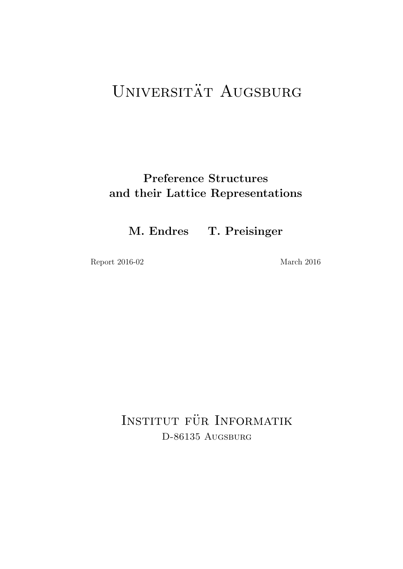# UNIVERSITÄT AUGSBURG

## Preference Structures and their Lattice Representations

M. Endres T. Preisinger

Report 2016-02 March 2016

INSTITUT FÜR INFORMATIK D-86135 AUGSBURG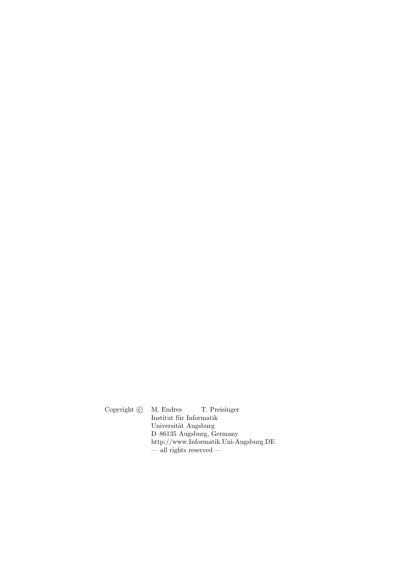Copyright  $\odot$  M. Endres T. Preisinger Institut für Informatik Universität Augsburg D–86135 Augsburg, Germany http://www.Informatik.Uni-Augsburg.DE — all rights reserved —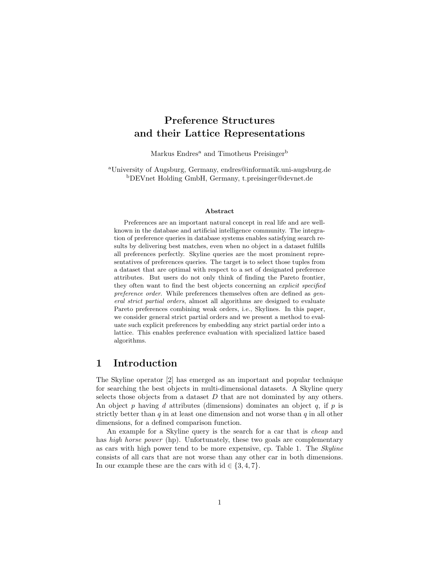## Preference Structures and their Lattice Representations

Markus Endres<sup>a</sup> and Timotheus Preisinger<sup>b</sup>

<sup>a</sup>University of Augsburg, Germany, endres@informatik.uni-augsburg.de <sup>b</sup>DEVnet Holding GmbH, Germany, t.preisinger@devnet.de

#### Abstract

Preferences are an important natural concept in real life and are wellknown in the database and artificial intelligence community. The integration of preference queries in database systems enables satisfying search results by delivering best matches, even when no object in a dataset fulfills all preferences perfectly. Skyline queries are the most prominent representatives of preferences queries. The target is to select those tuples from a dataset that are optimal with respect to a set of designated preference attributes. But users do not only think of finding the Pareto frontier, they often want to find the best objects concerning an *explicit specified preference order*. While preferences themselves often are defined as *general strict partial orders*, almost all algorithms are designed to evaluate Pareto preferences combining weak orders, i.e., Skylines. In this paper, we consider general strict partial orders and we present a method to evaluate such explicit preferences by embedding any strict partial order into a lattice. This enables preference evaluation with specialized lattice based algorithms.

### 1 Introduction

The Skyline operator [2] has emerged as an important and popular technique for searching the best objects in multi-dimensional datasets. A Skyline query selects those objects from a dataset *D* that are not dominated by any others. An object *p* having *d* attributes (dimensions) dominates an object *q*, if *p* is strictly better than *q* in at least one dimension and not worse than *q* in all other dimensions, for a defined comparison function.

An example for a Skyline query is the search for a car that is *cheap* and has *high horse power* (hp). Unfortunately, these two goals are complementary as cars with high power tend to be more expensive, cp. Table 1. The *Skyline* consists of all cars that are not worse than any other car in both dimensions. In our example these are the cars with  $id \in \{3, 4, 7\}$ .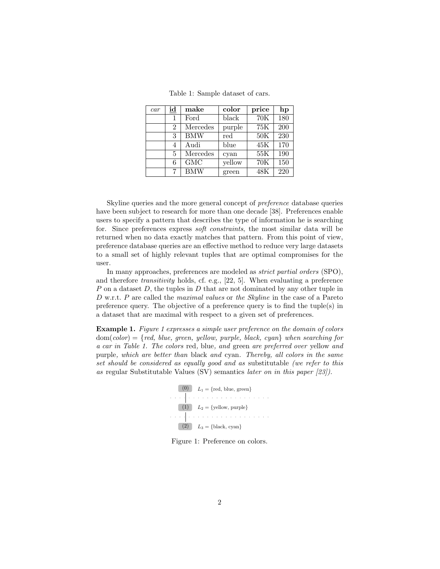Table 1: Sample dataset of cars.

| car | id             | make       | color  | price | hp  |
|-----|----------------|------------|--------|-------|-----|
|     | 1              | Ford       | black  | 70K   | 180 |
|     | $\overline{2}$ | Mercedes   | purple | 75K   | 200 |
|     | 3              | <b>BMW</b> | red    | 50K   | 230 |
|     | 4              | Audi       | blue   | 45K   | 170 |
|     | 5              | Mercedes   | cyan   | 55K   | 190 |
|     | 6              | GMC        | yellow | 70K   | 150 |
|     |                | <b>BMW</b> | green  | 48K   | 220 |

Skyline queries and the more general concept of *preference* database queries have been subject to research for more than one decade [38]. Preferences enable users to specify a pattern that describes the type of information he is searching for. Since preferences express *soft constraints*, the most similar data will be returned when no data exactly matches that pattern. From this point of view, preference database queries are an effective method to reduce very large datasets to a small set of highly relevant tuples that are optimal compromises for the user.

In many approaches, preferences are modeled as *strict partial orders* (SPO), and therefore *transitivity* holds, cf. e.g., [22, 5]. When evaluating a preference *P* on a dataset *D*, the tuples in *D* that are not dominated by any other tuple in *D* w.r.t. *P* are called the *maximal values* or *the Skyline* in the case of a Pareto preference query. The objective of a preference query is to find the tuple(s) in a dataset that are maximal with respect to a given set of preferences.

Example 1. *Figure 1 expresses a simple user preference on the domain of colors* dom(*color*) = *{red, blue, green, yellow, purple, black, cyan} when searching for a car in Table 1. The colors* red*,* blue*, and* green *are preferred over* yellow *and* purple*, which are better than* black *and* cyan*. Thereby, all colors in the same set should be considered as equally good and as* substitutable *(we refer to this as* regular Substitutable Values (SV) semantics *later on in this paper [23]).*



Figure 1: Preference on colors.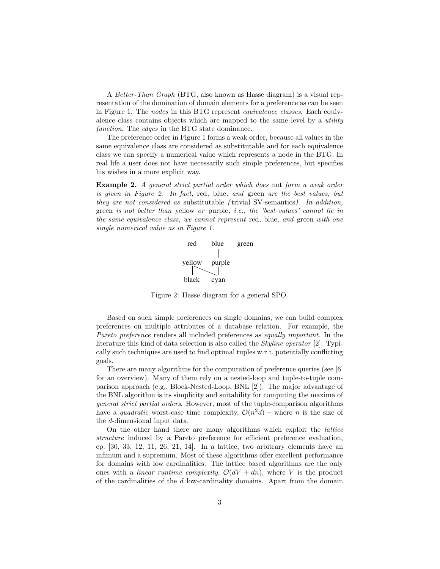A *Better-Than Graph* (BTG, also known as Hasse diagram) is a visual representation of the domination of domain elements for a preference as can be seen in Figure 1. The *nodes* in this BTG represent *equivalence classes*. Each equivalence class contains objects which are mapped to the same level by a *utility function*. The *edges* in the BTG state dominance.

The preference order in Figure 1 forms a weak order, because all values in the same equivalence class are considered as substitutable and for each equivalence class we can specify a numerical value which represents a node in the BTG. In real life a user does not have necessarily such simple preferences, but specifies his wishes in a more explicit way.

Example 2. *A general strict partial order which does* not *form a weak order is given in Figure 2. In fact,* red*,* blue*, and* green *are the best values, but they are not considered as* substitutable *(* trivial SV-semantics*). In addition,* green *is not better than* yellow *or* purple*, i.e., the 'best values' cannot lie in the same equivalence class, we cannot represent* red*,* blue*, and* green *with one single numerical value as in Figure 1.*



Figure 2: Hasse diagram for a general SPO.

Based on such simple preferences on single domains, we can build complex preferences on multiple attributes of a database relation. For example, the *Pareto preference* renders all included preferences as *equally important*. In the literature this kind of data selection is also called the *Skyline operator* [2]. Typically such techniques are used to find optimal tuples w.r.t. potentially conflicting goals.

There are many algorithms for the computation of preference queries (see [6] for an overview). Many of them rely on a nested-loop and tuple-to-tuple comparison approach (e.g., Block-Nested-Loop, BNL [2]). The major advantage of the BNL algorithm is its simplicity and suitability for computing the maxima of *general strict partial orders*. However, most of the tuple-comparison algorithms have a *quadratic* worst-case time complexity,  $\mathcal{O}(n^2d)$  – where *n* is the size of the *d*-dimensional input data.

On the other hand there are many algorithms which exploit the *lattice structure* induced by a Pareto preference for efficient preference evaluation, cp. [30, 33, 12, 11, 26, 21, 14]. In a lattice, two arbitrary elements have an infimum and a supremum. Most of these algorithms offer excellent performance for domains with low cardinalities. The lattice based algorithms are the only ones with a *linear runtime complexity*,  $\mathcal{O}(dV + dn)$ , where V is the product of the cardinalities of the *d* low-cardinality domains. Apart from the domain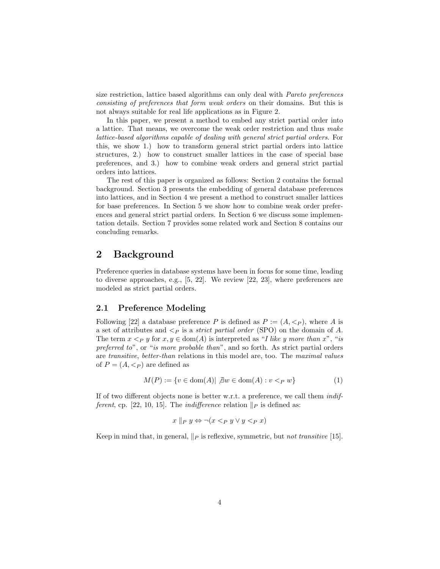size restriction, lattice based algorithms can only deal with *Pareto preferences consisting of preferences that form weak orders* on their domains. But this is not always suitable for real life applications as in Figure 2.

In this paper, we present a method to embed any strict partial order into a lattice. That means, we overcome the weak order restriction and thus *make lattice-based algorithms capable of dealing with general strict partial orders*. For this, we show 1.) how to transform general strict partial orders into lattice structures, 2.) how to construct smaller lattices in the case of special base preferences, and 3.) how to combine weak orders and general strict partial orders into lattices.

The rest of this paper is organized as follows: Section 2 contains the formal background. Section 3 presents the embedding of general database preferences into lattices, and in Section 4 we present a method to construct smaller lattices for base preferences. In Section 5 we show how to combine weak order preferences and general strict partial orders. In Section 6 we discuss some implementation details. Section 7 provides some related work and Section 8 contains our concluding remarks.

## 2 Background

Preference queries in database systems have been in focus for some time, leading to diverse approaches, e.g., [5, 22]. We review [22, 23], where preferences are modeled as strict partial orders.

#### 2.1 Preference Modeling

Following [22] a database preference *P* is defined as  $P := (A, \langle p \rangle)$ , where *A* is a set of attributes and *<<sup>P</sup>* is a *strict partial order* (SPO) on the domain of *A*. The term  $x < p$  *y* for  $x, y \in \text{dom}(A)$  is interpreted as "*I like y more than x*", "*is preferred to*", or "*is more probable than*", and so forth. As strict partial orders are *transitive*, *better-than* relations in this model are, too. The *maximal values* of  $P = (A, \lt_P)$  are defined as

$$
M(P) := \{ v \in \text{dom}(A) | \ \exists w \in \text{dom}(A) : v <_{P} w \} \tag{1}
$$

If of two different objects none is better w.r.t. a preference, we call them *indifferent*, cp. [22, 10, 15]. The *indifference* relation  $\Vert p \Vert$  is defined as:

$$
x \parallel_P y \Leftrightarrow \neg(x <_P y \lor y <_P x)
$$

Keep in mind that, in general,  $\Vert p$  is reflexive, symmetric, but *not transitive* [15].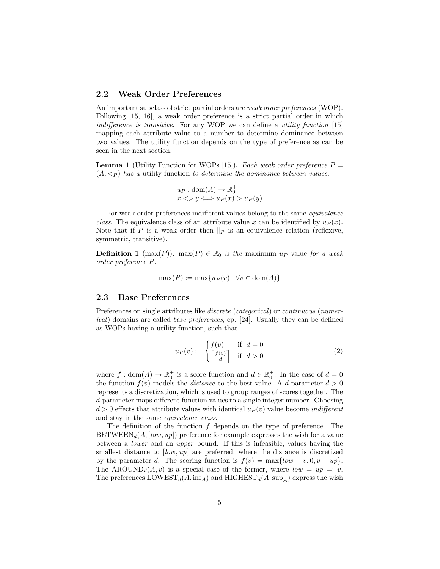#### 2.2 Weak Order Preferences

An important subclass of strict partial orders are *weak order preferences* (WOP). Following [15, 16], a weak order preference is a strict partial order in which *indifference is transitive.* For any WOP we can define a *utility function* [15] mapping each attribute value to a number to determine dominance between two values. The utility function depends on the type of preference as can be seen in the next section.

**Lemma 1** (Utility Function for WOPs [15]). *Each weak order preference*  $P =$  $(A, \leq_P)$  *has a* utility function *to determine the dominance between values:* 

$$
u_P : dom(A) \to \mathbb{R}_0^+ x <_P y \iff u_P(x) > u_P(y)
$$

For weak order preferences indifferent values belong to the same *equivalence class*. The equivalence class of an attribute value *x* can be identified by  $u_P(x)$ . Note that if *P* is a weak order then  $\|_P$  is an equivalence relation (reflexive, symmetric, transitive).

**Definition 1** (max(P)). max(P)  $\in \mathbb{R}_0$  *is the* maximum  $u_P$  value for a weak *order preference P.*

$$
\max(P) := \max\{u_P(v) \mid \forall v \in \text{dom}(A)\}
$$

#### 2.3 Base Preferences

Preferences on single attributes like *discrete* (*categorical*) or *continuous* (*numerical*) domains are called *base preferences*, cp. [24]. Usually they can be defined as WOPs having a utility function, such that

$$
u_P(v) := \begin{cases} f(v) & \text{if } d = 0\\ \left\lceil \frac{f(v)}{d} \right\rceil & \text{if } d > 0 \end{cases}
$$
 (2)

where  $f : \text{dom}(A) \to \mathbb{R}_0^+$  is a score function and  $d \in \mathbb{R}_0^+$ . In the case of  $d = 0$ the function  $f(v)$  models the *distance* to the best value. A *d*-parameter  $d > 0$ represents a discretization, which is used to group ranges of scores together. The *d*-parameter maps different function values to a single integer number. Choosing  $d > 0$  effects that attribute values with identical  $u_P(v)$  value become *indifferent* and stay in the same *equivalence class*.

The definition of the function *f* depends on the type of preference. The  $BETWEEN_d(A, [low, up])$  preference for example expresses the wish for a value between a *lower* and an *upper* bound. If this is infeasible, values having the smallest distance to  $[low, up]$  are preferred, where the distance is discretized by the parameter *d*. The scoring function is  $f(v) = \max\{low - v, 0, v - up\}$ . The AROUND<sub>d</sub> $(A, v)$  is a special case of the former, where  $low = up =: v$ . The preferences  $\text{LOWEST}_d(A, \text{inf}_A)$  and  $\text{HIGHEST}_d(A, \text{sup}_A)$  express the wish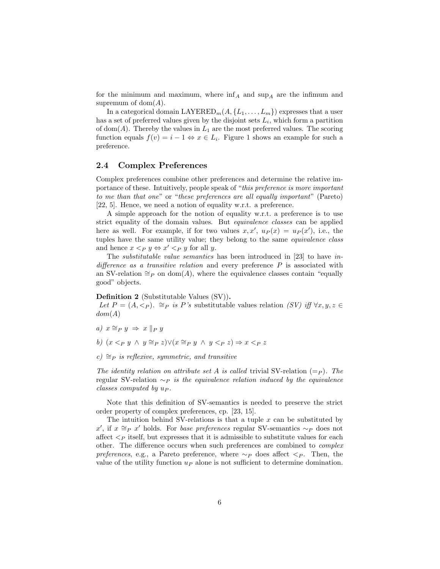for the minimum and maximum, where  $\inf_A$  and  $\sup_A$  are the infimum and supremum of dom(*A*).

In a categorical domain LAYERED<sub>m</sub>( $A$ ,  $\{L_1, \ldots, L_m\}$ ) expresses that a user has a set of preferred values given by the disjoint sets  $L_i$ , which form a partition of dom( $A$ ). Thereby the values in  $L_1$  are the most preferred values. The scoring function equals  $f(v) = i - 1 \Leftrightarrow x \in L_i$ . Figure 1 shows an example for such a preference.

#### 2.4 Complex Preferences

Complex preferences combine other preferences and determine the relative importance of these. Intuitively, people speak of "*this preference is more important to me than that one*" or "*these preferences are all equally important*" (Pareto) [22, 5]. Hence, we need a notion of equality w.r.t. a preference.

A simple approach for the notion of equality w.r.t. a preference is to use strict equality of the domain values. But *equivalence classes* can be applied here as well. For example, if for two values  $x, x'$ ,  $u_P(x) = u_P(x')$ , i.e., the tuples have the same utility value; they belong to the same *equivalence class* and hence  $x < p$   $y \Leftrightarrow x' < p$  *y* for all *y*.

The *substitutable value semantics* has been introduced in [23] to have *in* $d$ *i* $f$ [*erence as a transitive relation* and every preference  $P$  is associated with an SV-relation  $\cong_P$  on dom(*A*), where the equivalence classes contain "equally good" objects.

#### Definition 2 (Substitutable Values (SV)).

*Let*  $P = (A, \langle p \rangle)$ .  $\cong_P$  *is P*'s substitutable values relation *(SV) iff*  $\forall x, y, z \in$ *dom*(*A*)

- *a)*  $x \cong_P y \implies x \parallel_P y$
- *b*)  $(x < p, y \land y \cong p, z) \lor (x \cong p, y \land y < p, z) \Rightarrow x < p, z$
- $c) \cong_{P}$  *is reflexive, symmetric, and transitive*

*The identity relation on attribute set A is called* trivial SV-relation  $(=_P)$ *. The* regular SV-relation  $~\sim_P$  *is the equivalence relation induced by the equivalence classes computed by u<sup>P</sup> .*

Note that this definition of SV-semantics is needed to preserve the strict order property of complex preferences, cp. [23, 15].

The intuition behind SV-relations is that a tuple *x* can be substituted by  $x'$ , if  $x \cong_P x'$  holds. For *base preferences* regular SV-semantics  $\sim_P$  does not affect  $\langle P \rangle$  itself, but expresses that it is admissible to substitute values for each other. The difference occurs when such preferences are combined to *complex preferences*, e.g., a Pareto preference, where  $\sim_P$  does affect  $\lt_P$ . Then, the value of the utility function  $u_P$  alone is not sufficient to determine domination.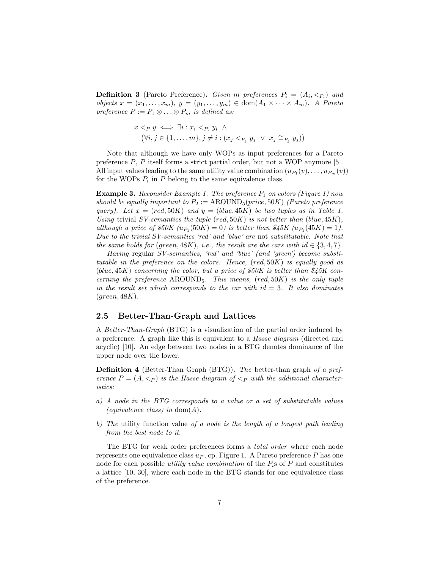**Definition 3** (Pareto Preference). *Given m* preferences  $P_i = (A_i, \langle P_i)$  and  $\omega$ *bjects*  $x = (x_1, \ldots, x_m)$ ,  $y = (y_1, \ldots, y_m) \in \text{dom}(A_1 \times \cdots \times A_m)$ . A Pareto *preference*  $P := P_1 \otimes \ldots \otimes P_m$  *is defined as:* 

$$
x <_P y \iff \exists i : x_i <_{P_i} y_i \land (\forall i, j \in \{1, ..., m\}, j \neq i : (x_j <_{P_j} y_j \lor x_j \cong_{P_j} y_j))
$$

Note that although we have only WOPs as input preferences for a Pareto preference *P*, *P* itself forms a strict partial order, but not a WOP anymore [5]. All input values leading to the same utility value combination  $(u_{P_1}(v),...,u_{P_m}(v))$ for the WOPs  $P_i$  in  $P$  belong to the same equivalence class.

**Example 3.** *Reconsider Example 1. The preference*  $P_1$  *on colors (Figure 1) now should be equally important to*  $P_2 := \text{AROUND}_5(\text{price}, 50K)$  *(Pareto preference query*). Let  $x = (red, 50K)$  and  $y = (blue, 45K)$  be two tuples as in Table 1. *Using* trivial *SV-semantics the tuple* (*red,* 50*K*) *is not better than* (*blue,* 45*K*)*, although a price of*  $$50K \ (u_{P_1}(50K) = 0)$  is better than  $$45K \ (u_{P_1}(45K) = 1)$ . *Due to the trivial SV-semantics 'red' and 'blue' are* not *substitutable. Note that the same holds for* (*green,*  $48K$ *), i.e., the result are the cars with id*  $\in$  {3*,* 4*,* 7*}.* 

*Having* regular *SV-semantics, 'red' and 'blue' (and 'green') become substitutable in the preference on the colors. Hence,* (*red,* 50*K*) *is equally good as* (*blue,* 45*K*) *concerning the color, but a price of \$50K is better than \$45K concerning the preference* AROUND5*. This means,* (*red,* 50*K*) *is the only tuple in the result set which corresponds to the car with id* = 3*. It also dominates* (*green,* 48*K*)*.*

#### 2.5 Better-Than-Graph and Lattices

A *Better-Than-Graph* (BTG) is a visualization of the partial order induced by a preference. A graph like this is equivalent to a *Hasse diagram* (directed and acyclic) [10]. An edge between two nodes in a BTG denotes dominance of the upper node over the lower.

Definition 4 (Better-Than Graph (BTG)). *The* better-than graph *of a preference*  $P = (A, \langle P \rangle)$  *is the Hasse diagram of*  $\langle P \rangle$  *with the additional characteristics:*

- *a) A node in the BTG corresponds to a value or a set of substitutable values (equivalence class) in* dom(*A*)*.*
- *b) The* utility function value *of a node is the length of a longest path leading from the best node to it.*

The BTG for weak order preferences forms a *total order* where each node represents one equivalence class *u<sup>P</sup>* , cp. Figure 1. A Pareto preference *P* has one node for each possible *utility value combination* of the *Pi*s of *P* and constitutes a lattice [10, 30], where each node in the BTG stands for one equivalence class of the preference.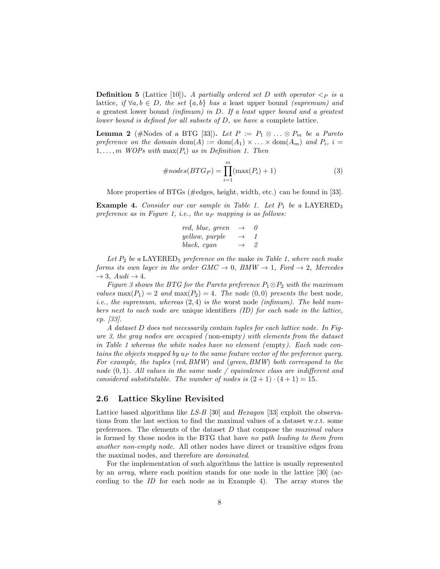**Definition 5** (Lattice [10]). *A partially ordered set D with operator*  $\lt_{P}$  *is a* lattice, if  $\forall a, b \in D$ , the set  $\{a, b\}$  has a least upper bound *(supremum) and a* greatest lower bound *(infimum) in D. If a least upper bound and a greatest lower bound is defined for all subsets of D, we have a* complete lattice*.*

**Lemma 2** (#Nodes of a BTG [33]). Let  $P := P_1 \otimes \ldots \otimes P_m$  be a Pareto *preference on the domain*  $dom(A) := dom(A_1) \times ... \times dom(A_m)$  *and*  $P_i$ *,*  $i =$ 1,...,m *WOPs with*  $max(P_i)$  *as in Definition 1. Then* 

$$
\#nodes(BTG_P) = \prod_{i=1}^{m} (\max(P_i) + 1)
$$
\n(3)

More properties of BTGs (#edges, height, width, etc.) can be found in [33].

Example 4. *Consider our car sample in Table 1. Let*  $P_1$  *be a* LAYERED<sub>3</sub> *preference as in Figure 1, i.e., the u<sup>P</sup> mapping is as follows:*

$$
\begin{array}{ccc} red,~blue,~green & \rightarrow & 0 \\ yellow,~purple & \rightarrow & 1 \\ black,~cyan & \rightarrow & 2 \end{array}
$$

Let  $P_2$  be a LAYERED<sub>5</sub> preference on the make *in Table 1, where each make forms its own layer in the order*  $GMC \rightarrow 0$ *,*  $BMW \rightarrow 1$ *, Ford*  $\rightarrow 2$ *, Mercedes*  $\rightarrow$  3*, Audi*  $\rightarrow$  4*.* 

*Figure 3 shows the BTG for the Pareto preference*  $P_1 \otimes P_2$  *with the maximum values* max $(P_1)=2$  *and* max $(P_2)=4$ *. The node*  $(0,0)$  *presents the* best node, *i.e., the supremum, whereas* (2*,* 4) *is the* worst node *(infimum). The bold numbers next to each node are* unique identifiers *(ID) for each node in the lattice, cp. [33].*

*A dataset D does not necessarily contain tuples for each lattice node. In Figure 3, the gray nodes are occupied (* non-empty*) with elements from the dataset in Table 1 whereas the white nodes have no element (* empty*). Each node contains the objects mapped by u<sup>P</sup> to the same feature vector of the preference query. For example, the tuples* (*red, BMW*) *and* (*green, BMW*) *both correspond to the node*  $(0, 1)$ *. All values in the same node* / *equivalence class are indifferent and considered substitutable. The number of nodes is*  $(2 + 1) \cdot (4 + 1) = 15$ *.* 

#### 2.6 Lattice Skyline Revisited

Lattice based algorithms like *LS-B* [30] and *Hexagon* [33] exploit the observations from the last section to find the maximal values of a dataset w.r.t. some preferences. The elements of the dataset *D* that compose the *maximal values* is formed by those nodes in the BTG that have *no path leading to them from another non-empty node*. All other nodes have direct or transitive edges from the maximal nodes, and therefore are *dominated*.

For the implementation of such algorithms the lattice is usually represented by an *array*, where each position stands for one node in the lattice [30] (according to the *ID* for each node as in Example 4). The array stores the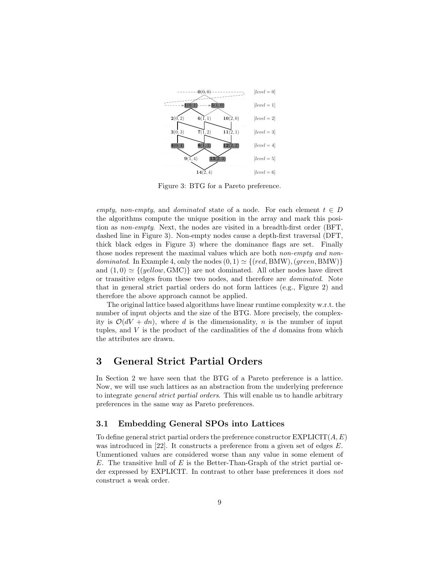

Figure 3: BTG for a Pareto preference.

*empty, non-empty,* and *dominated* state of a node. For each element  $t \in D$ the algorithms compute the unique position in the array and mark this position as *non-empty*. Next, the nodes are visited in a breadth-first order (BFT, dashed line in Figure 3). Non-empty nodes cause a depth-first traversal (DFT, thick black edges in Figure 3) where the dominance flags are set. Finally those nodes represent the maximal values which are both *non-empty and nondominated.* In Example 4, only the nodes  $(0, 1) \simeq \{ (red, BMW), (green, BMW) \}$ and  $(1,0) \simeq \{(yellow, GMC)\}$  are not dominated. All other nodes have direct or transitive edges from these two nodes, and therefore are *dominated*. Note that in general strict partial orders do not form lattices (e.g., Figure 2) and therefore the above approach cannot be applied.

The original lattice based algorithms have linear runtime complexity w.r.t. the number of input objects and the size of the BTG. More precisely, the complexity is  $\mathcal{O}(dV + dn)$ , where *d* is the dimensionality, *n* is the number of input tuples, and *V* is the product of the cardinalities of the *d* domains from which the attributes are drawn.

## 3 General Strict Partial Orders

In Section 2 we have seen that the BTG of a Pareto preference is a lattice. Now, we will use such lattices as an abstraction from the underlying preference to integrate *general strict partial orders*. This will enable us to handle arbitrary preferences in the same way as Pareto preferences.

#### 3.1 Embedding General SPOs into Lattices

To define general strict partial orders the preference constructor EXPLICIT(*A, E*) was introduced in [22]. It constructs a preference from a given set of edges *E*. Unmentioned values are considered worse than any value in some element of *E*. The transitive hull of *E* is the Better-Than-Graph of the strict partial order expressed by EXPLICIT. In contrast to other base preferences it does *not* construct a weak order.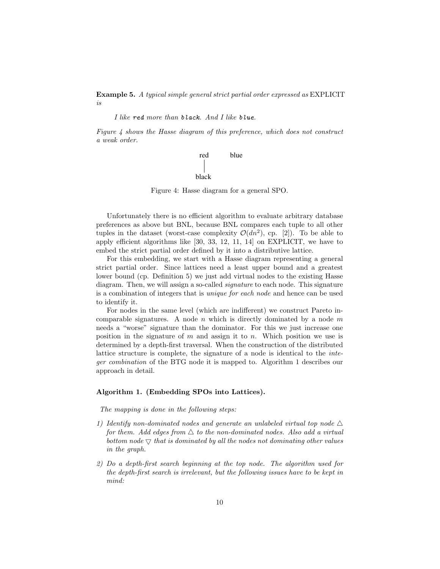Example 5. *A typical simple general strict partial order expressed as* EXPLICIT *is*

*I like red more than black. And I like blue.*

*Figure 4 shows the Hasse diagram of this preference, which does not construct a weak order.*



Figure 4: Hasse diagram for a general SPO.

Unfortunately there is no efficient algorithm to evaluate arbitrary database preferences as above but BNL, because BNL compares each tuple to all other tuples in the dataset (worst-case complexity  $\mathcal{O}(dn^2)$ , cp. [2]). To be able to apply efficient algorithms like  $[30, 33, 12, 11, 14]$  on EXPLICIT, we have to embed the strict partial order defined by it into a distributive lattice.

For this embedding, we start with a Hasse diagram representing a general strict partial order. Since lattices need a least upper bound and a greatest lower bound (cp. Definition 5) we just add virtual nodes to the existing Hasse diagram. Then, we will assign a so-called *signature* to each node. This signature is a combination of integers that is *unique for each node* and hence can be used to identify it.

For nodes in the same level (which are indifferent) we construct Pareto incomparable signatures. A node *n* which is directly dominated by a node *m* needs a "worse" signature than the dominator. For this we just increase one position in the signature of *m* and assign it to *n*. Which position we use is determined by a depth-first traversal. When the construction of the distributed lattice structure is complete, the signature of a node is identical to the *integer combination* of the BTG node it is mapped to. Algorithm 1 describes our approach in detail.

#### Algorithm 1. (Embedding SPOs into Lattices).

*The mapping is done in the following steps:*

- *1)* Identify non-dominated nodes and generate an unlabeled virtual top node  $\triangle$ *for them. Add edges from*  $\triangle$  *to the non-dominated nodes. Also add a virtual bottom node*  $\nabla$  *that is dominated by all the nodes not dominating other values in the graph.*
- *2) Do a depth-first search beginning at the top node. The algorithm used for the depth-first search is irrelevant, but the following issues have to be kept in mind:*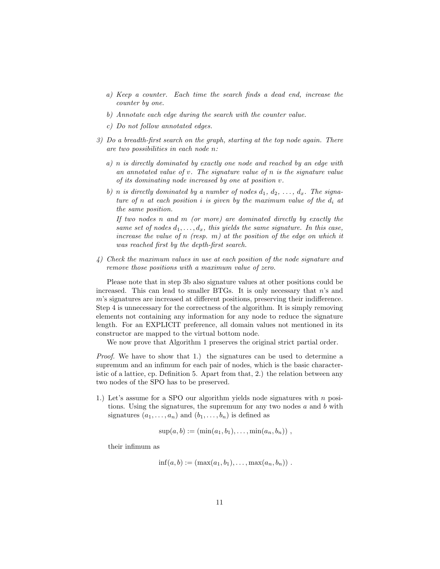- *a) Keep a counter. Each time the search finds a dead end, increase the counter by one.*
- *b) Annotate each edge during the search with the counter value.*
- *c) Do not follow annotated edges.*
- *3) Do a breadth-first search on the graph, starting at the top node again. There are two possibilities in each node n:*
	- *a) n is directly dominated by exactly one node and reached by an edge with an annotated value of v. The signature value of n is the signature value of its dominating node increased by one at position v.*
	- *b) n is directly dominated by a number of nodes*  $d_1, d_2, \ldots, d_x$ . The signa*ture of n at each position i is given by the maximum value of the d<sup>i</sup> at the same position.*

*If two nodes n and m (or more) are dominated directly by exactly the same set of nodes*  $d_1, \ldots, d_x$ *, this yields the same signature. In this case, increase the value of n (resp. m) at the position of the edge on which it was reached first by the depth-first search.*

*4) Check the maximum values in use at each position of the node signature and remove those positions with a maximum value of zero.*

Please note that in step 3b also signature values at other positions could be increased. This can lead to smaller BTGs. It is only necessary that *n*'s and *m*'s signatures are increased at different positions, preserving their indifference. Step 4 is unnecessary for the correctness of the algorithm. It is simply removing elements not containing any information for any node to reduce the signature length. For an EXPLICIT preference, all domain values not mentioned in its constructor are mapped to the virtual bottom node.

We now prove that Algorithm 1 preserves the original strict partial order.

*Proof.* We have to show that 1.) the signatures can be used to determine a supremum and an infimum for each pair of nodes, which is the basic characteristic of a lattice, cp. Definition 5. Apart from that, 2.) the relation between any two nodes of the SPO has to be preserved.

1.) Let's assume for a SPO our algorithm yields node signatures with *n* positions. Using the signatures, the supremum for any two nodes *a* and *b* with signatures  $(a_1, \ldots, a_n)$  and  $(b_1, \ldots, b_n)$  is defined as

$$
sup(a, b) := (min(a_1, b_1), \ldots, min(a_n, b_n)) ,
$$

their infimum as

$$
inf(a, b) := (max(a_1, b_1), \ldots, max(a_n, b_n))
$$
.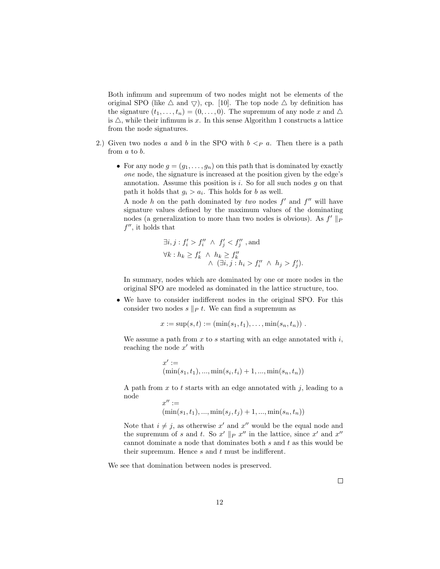Both infimum and supremum of two nodes might not be elements of the original SPO (like  $\triangle$  and  $\bigtriangledown$ ), cp. [10]. The top node  $\triangle$  by definition has the signature  $(t_1, \ldots, t_n) = (0, \ldots, 0)$ . The supremum of any node x and  $\Delta$ is  $\triangle$ , while their infimum is x. In this sense Algorithm 1 constructs a lattice from the node signatures.

- 2.) Given two nodes *a* and *b* in the SPO with  $b < p$  *a*. Then there is a path from *a* to *b*.
	- For any node  $g = (g_1, \ldots, g_n)$  on this path that is dominated by exactly *one* node, the signature is increased at the position given by the edge's annotation. Assume this position is *i*. So for all such nodes *g* on that path it holds that  $g_i > a_i$ . This holds for *b* as well.

A node *h* on the path dominated by *two* nodes  $f'$  and  $f''$  will have signature values defined by the maximum values of the dominating nodes (a generalization to more than two nodes is obvious). As  $f' \parallel_P$  $f''$ , it holds that

$$
\exists i, j: f'_i > f''_i \land f'_j < f''_j \text{, and}
$$
\n
$$
\forall k: h_k \ge f'_k \land h_k \ge f''_k
$$
\n
$$
\land \ (\exists i, j: h_i > f''_i \land h_j > f'_j).
$$

In summary, nodes which are dominated by one or more nodes in the original SPO are modeled as dominated in the lattice structure, too.

• We have to consider indifferent nodes in the original SPO. For this consider two nodes  $s \parallel_{P} t$ . We can find a supremum as

$$
x := \sup(s, t) := (\min(s_1, t_1), \dots, \min(s_n, t_n)).
$$

We assume a path from *x* to *s* starting with an edge annotated with *i*, reaching the node  $x'$  with

$$
x' := (\min(s_1, t_1), ..., \min(s_i, t_i) + 1, ..., \min(s_n, t_n))
$$

A path from *x* to *t* starts with an edge annotated with *j*, leading to a node

$$
x'':=(\min(s_1,t_1),...,\min(s_j,t_j)+1,...,\min(s_n,t_n))
$$

Note that  $i \neq j$ , as otherwise  $x'$  and  $x''$  would be the equal node and the supremum of *s* and *t*. So  $x' \parallel_P x''$  in the lattice, since  $x'$  and  $x''$ cannot dominate a node that dominates both *s* and *t* as this would be their supremum. Hence  $s$  and  $t$  must be indifferent.

We see that domination between nodes is preserved.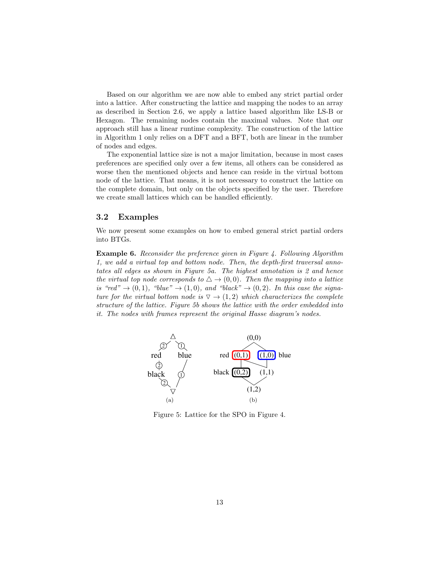Based on our algorithm we are now able to embed any strict partial order into a lattice. After constructing the lattice and mapping the nodes to an array as described in Section 2.6, we apply a lattice based algorithm like LS-B or Hexagon. The remaining nodes contain the maximal values. Note that our approach still has a linear runtime complexity. The construction of the lattice in Algorithm 1 only relies on a DFT and a BFT, both are linear in the number of nodes and edges.

The exponential lattice size is not a major limitation, because in most cases preferences are specified only over a few items, all others can be considered as worse then the mentioned objects and hence can reside in the virtual bottom node of the lattice. That means, it is not necessary to construct the lattice on the complete domain, but only on the objects specified by the user. Therefore we create small lattices which can be handled efficiently.

#### 3.2 Examples

We now present some examples on how to embed general strict partial orders into BTGs.

Example 6. *Reconsider the preference given in Figure 4. Following Algorithm 1, we add a virtual top and bottom node. Then, the depth-first traversal annotates all edges as shown in Figure 5a. The highest annotation is 2 and hence the virtual top node corresponds to*  $\Delta \rightarrow (0,0)$ *. Then the mapping into a lattice is "red"*  $\rightarrow$  (0, 1), "blue"  $\rightarrow$  (1,0), and "black"  $\rightarrow$  (0,2). In this case the signa*ture for the virtual bottom node is*  $\nabla \rightarrow (1, 2)$  *which characterizes the complete structure of the lattice. Figure 5b shows the lattice with the order embedded into it. The nodes with frames represent the original Hasse diagram's nodes.*



Figure 5: Lattice for the SPO in Figure 4.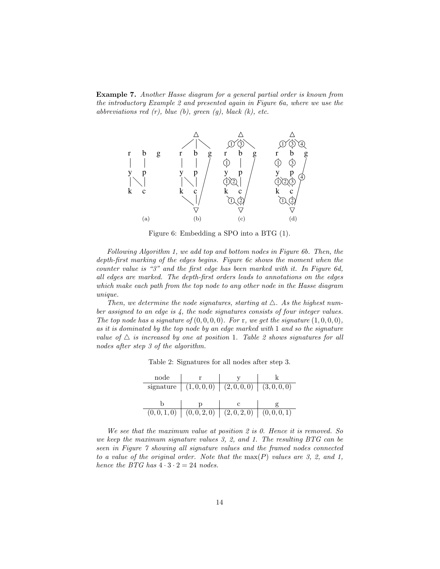Example 7. *Another Hasse diagram for a general partial order is known from the introductory Example 2 and presented again in Figure 6a, where we use the abbreviations red (r), blue (b), green (g), black (k), etc.*



Figure 6: Embedding a SPO into a BTG (1).

*Following Algorithm 1, we add top and bottom nodes in Figure 6b. Then, the depth-first marking of the edges begins. Figure 6c shows the moment when the counter value is "3" and the first edge has been marked with it. In Figure 6d, all edges are marked. The depth-first orders leads to annotations on the edges which make each path from the top node to any other node in the Hasse diagram unique.*

*Then, we determine the node signatures, starting at*  $\triangle$ . As the highest num*ber assigned to an edge is 4, the node signatures consists of four integer values. The top node has a signature of*  $(0, 0, 0, 0)$ *. For* r*, we get the signature*  $(1, 0, 0, 0)$ *, as it is dominated by the top node by an edge marked with* 1 *and so the signature value of*  $\triangle$  *is increased by one at position* 1*. Table 2 shows signatures for all nodes after step 3 of the algorithm.*

|  | Table 2: Signatures for all nodes after step 3. |  |  |  |  |  |  |
|--|-------------------------------------------------|--|--|--|--|--|--|
|--|-------------------------------------------------|--|--|--|--|--|--|

| node |                                                 |  |
|------|-------------------------------------------------|--|
|      | signature $(1,0,0,0)$ $(2,0,0,0)$ $(3,0,0,0)$   |  |
|      |                                                 |  |
|      |                                                 |  |
|      | $(0,0,1,0)$ $(0,0,2,0)$ $(2,0,2,0)$ $(0,0,0,1)$ |  |

*We see that the maximum value at position 2 is 0. Hence it is removed. So we keep the maximum signature values 3, 2, and 1. The resulting BTG can be seen in Figure 7 showing all signature values and the framed nodes connected to a value of the original order. Note that the* max(*P*) *values are 3, 2, and 1, hence the BTG has*  $4 \cdot 3 \cdot 2 = 24$  *nodes.*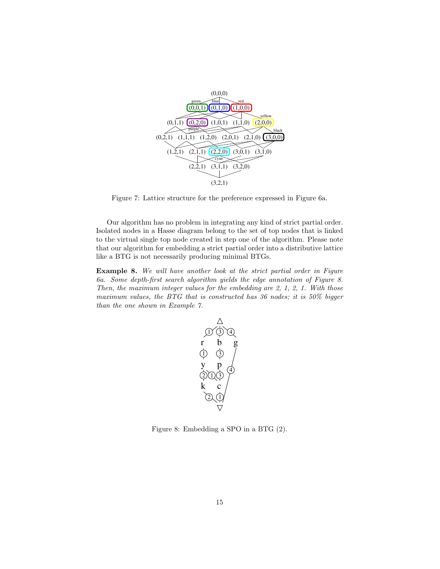

Figure 7: Lattice structure for the preference expressed in Figure 6a.

Our algorithm has no problem in integrating any kind of strict partial order. Isolated nodes in a Hasse diagram belong to the set of top nodes that is linked to the virtual single top node created in step one of the algorithm. Please note that our algorithm for embedding a strict partial order into a distributive lattice like a BTG is not necessarily producing minimal BTGs.

Example 8. *We will have another look at the strict partial order in Figure 6a. Some depth-first search algorithm yields the edge annotation of Figure 8. Then, the maximum integer values for the embedding are 2, 1, 2, 1. With those maximum values, the BTG that is constructed has 36 nodes; it is 50% bigger than the one shown in Example 7.*



Figure 8: Embedding a SPO in a BTG (2).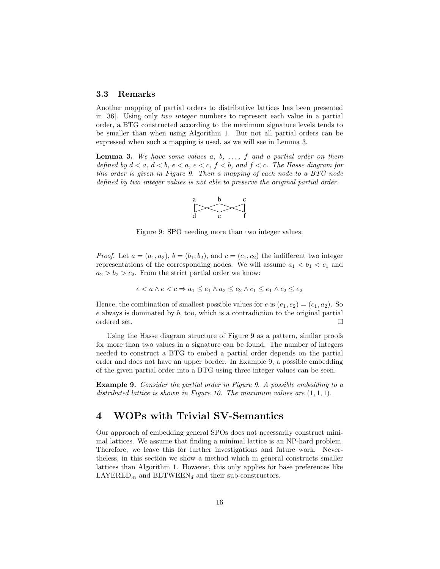#### 3.3 Remarks

Another mapping of partial orders to distributive lattices has been presented in [36]. Using only *two integer* numbers to represent each value in a partial order, a BTG constructed according to the maximum signature levels tends to be smaller than when using Algorithm 1. But not all partial orders can be expressed when such a mapping is used, as we will see in Lemma 3.

Lemma 3. *We have some values a, b, ..., f and a partial order on them defined by*  $d < a$ ,  $d < b$ ,  $e < a$ ,  $e < c$ ,  $f < b$ , and  $f < c$ . The Hasse diagram for *this order is given in Figure 9. Then a mapping of each node to a BTG node defined by two integer values is not able to preserve the original partial order.* 



Figure 9: SPO needing more than two integer values.

*Proof.* Let  $a = (a_1, a_2)$ ,  $b = (b_1, b_2)$ , and  $c = (c_1, c_2)$  the indifferent two integer representations of the corresponding nodes. We will assume  $a_1 < b_1 < c_1$  and  $a_2 > b_2 > c_2$ . From the strict partial order we know:

$$
e < a \land e < c \Rightarrow a_1 \le e_1 \land a_2 \le e_2 \land c_1 \le e_1 \land c_2 \le e_2
$$

Hence, the combination of smallest possible values for *e* is  $(e_1, e_2) = (c_1, a_2)$ . So *e* always is dominated by *b*, too, which is a contradiction to the original partial ordered set.  $\Box$ 

Using the Hasse diagram structure of Figure 9 as a pattern, similar proofs for more than two values in a signature can be found. The number of integers needed to construct a BTG to embed a partial order depends on the partial order and does not have an upper border. In Example 9, a possible embedding of the given partial order into a BTG using three integer values can be seen.

Example 9. *Consider the partial order in Figure 9. A possible embedding to a distributed lattice is shown in Figure 10. The maximum values are* (1*,* 1*,* 1)*.*

## 4 WOPs with Trivial SV-Semantics

Our approach of embedding general SPOs does not necessarily construct minimal lattices. We assume that finding a minimal lattice is an NP-hard problem. Therefore, we leave this for further investigations and future work. Nevertheless, in this section we show a method which in general constructs smaller lattices than Algorithm 1. However, this only applies for base preferences like  $LAYERED_m$  and  $BETWEEN_d$  and their sub-constructors.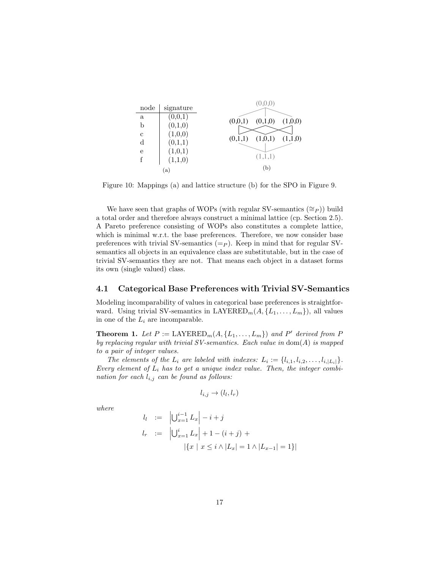|             |           | (0,0,0)                       |
|-------------|-----------|-------------------------------|
| node        | signature |                               |
| a           | (0,0,1)   |                               |
| b           | (0,1,0)   | (0,1,0)<br>(1,0,0)<br>(0,0,1) |
| $\mathbf c$ | (1,0,0)   |                               |
| $\rm d$     | (0,1,1)   | (1,0,1)<br>(0,1,1)<br>(1,1,0) |
| e           | (1,0,1)   |                               |
| f           | (1,1,0)   | (1,1,1)                       |
|             | (a)       | (b)                           |
|             |           |                               |

Figure 10: Mappings (a) and lattice structure (b) for the SPO in Figure 9.

We have seen that graphs of WOPs (with regular SV-semantics  $(\cong_P)$ ) build a total order and therefore always construct a minimal lattice (cp. Section 2.5). A Pareto preference consisting of WOPs also constitutes a complete lattice, which is minimal w.r.t. the base preferences. Therefore, we now consider base preferences with trivial SV-semantics  $(=_P)$ . Keep in mind that for regular SVsemantics all objects in an equivalence class are substitutable, but in the case of trivial SV-semantics they are not. That means each object in a dataset forms its own (single valued) class.

#### 4.1 Categorical Base Preferences with Trivial SV-Semantics

Modeling incomparability of values in categorical base preferences is straightforward. Using trivial SV-semantics in  $\text{LAYERED}_m(A, \{L_1, \ldots, L_m\})$ , all values in one of the  $L_i$  are incomparable.

**Theorem 1.** Let  $P := \text{LAYERED}_m(A, \{L_1, \ldots, L_m\})$  and  $P'$  derived from  $P$ *by replacing regular with trivial SV-semantics. Each value in* dom(*A*) *is mapped to a pair of integer values.*

*The elements of the*  $L_i$  *are labeled with indexes:*  $L_i := \{l_{i,1}, l_{i,2}, \ldots, l_{i,|L_i|}\}.$ *Every element of L<sup>i</sup> has to get a unique index value. Then, the integer combination for each li,j can be found as follows:*

$$
l_{i,j}\rightarrow (l_l,l_r)
$$

*where*

$$
l_l := \left| \bigcup_{x=1}^{i-1} L_x \right| - i + j
$$
  
\n
$$
l_r := \left| \bigcup_{x=1}^{i} L_x \right| + 1 - (i + j) +
$$
  
\n
$$
\left| \{ x \mid x \le i \land |L_x| = 1 \land |L_{x-1}| = 1 \} \right|
$$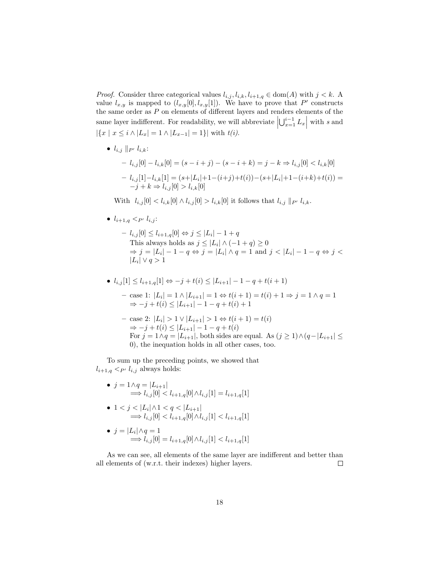*Proof.* Consider three categorical values  $l_{i,j}, l_{i,k}, l_{i+1,q} \in \text{dom}(A)$  with  $j < k$ . A value  $l_{x,y}$  is mapped to  $(l_{x,y}[0], l_{x,y}[1])$ . We have to prove that P' constructs the same order as  $P$  on elements of different layers and renders elements of the same layer indifferent. For readability, we will abbreviate  $\left| \bigcup_{x=1}^{i-1} L_x \right|$  with *s* and  $|{x \mid x \leq i \land |L_x| = 1 \land |L_{x-1}| = 1}$  with  $t(i)$ .

•  $l_{i,j} ||_{P'} l_{i,k}$ :

$$
- l_{i,j}[0] - l_{i,k}[0] = (s - i + j) - (s - i + k) = j - k \Rightarrow l_{i,j}[0] < l_{i,k}[0]
$$
\n
$$
- l_{i,j}[1] - l_{i,k}[1] = (s + |L_i| + 1 - (i + j) + t(i)) - (s + |L_i| + 1 - (i + k) + t(i)) =
$$
\n
$$
-j + k \Rightarrow l_{i,j}[0] > l_{i,k}[0]
$$

With  $l_{i,j}[0] < l_{i,k}[0] \wedge l_{i,j}[0] > l_{i,k}[0]$  it follows that  $l_{i,j} ||_{P'} l_{i,k}$ .

•  $l_{i+1,q} < p \cdot l_{i,j}$ :

 $- l_{i,j}[0] \leq l_{i+1,q}[0] \Leftrightarrow j \leq |L_i| - 1 + q$ This always holds as  $j \leq |L_i| \wedge (-1 + q) \geq 0$  $\Rightarrow$   $j = |L_i| - 1 - q \Leftrightarrow j = |L_i| \wedge q = 1 \text{ and } j < |L_i| - 1 - q \Leftrightarrow j < j$  $|L_i| \vee q > 1$ 

• 
$$
l_{i,j}[1] \leq l_{i+1,q}[1] \Leftrightarrow -j+t(i) \leq |L_{i+1}|-1-q+t(i+1)
$$

 $-$  case 1:  $|L_i| = 1 \wedge |L_{i+1}| = 1 \Leftrightarrow t(i+1) = t(i) + 1 \Rightarrow j = 1 \wedge q = 1$  $\Rightarrow$  -*j* + *t*(*i*)  $\leq$   $|L_{i+1}| - 1 - q + t(i) + 1$ 

- case 2: 
$$
|L_i| > 1 \vee |L_{i+1}| > 1 \Leftrightarrow t(i+1) = t(i)
$$
  
\n $\Rightarrow -j + t(i) \le |L_{i+1}| - 1 - q + t(i)$   
\nFor  $j = 1 \wedge q = |L_{i+1}|$ , both sides are equal. As  $(j \ge 1) \wedge (q - |L_{i+1}| \le 0)$ , the inequation holds in all other cases, too.

To sum up the preceding points, we showed that  $l_{i+1,q} < p$   $l_{i,j}$  always holds:

•  $j = 1 \land q = |L_{i+1}|$  $\implies$   $l_{i,j}[0] < l_{i+1,q}[0] \wedge l_{i,j}[1] = l_{i+1,q}[1]$ 

• 
$$
1 < j < |L_i| \wedge 1 < q < |L_{i+1}|
$$
  
\n $\implies l_{i,j}[0] < l_{i+1,q}[0] \wedge l_{i,j}[1] < l_{i+1,q}[1]$ 

• 
$$
j = |L_i| \wedge q = 1
$$
  
\n $\implies l_{i,j}[0] = l_{i+1,q}[0] \wedge l_{i,j}[1] < l_{i+1,q}[1]$ 

As we can see, all elements of the same layer are indifferent and better than all elements of (w.r.t. their indexes) higher layers.  $\Box$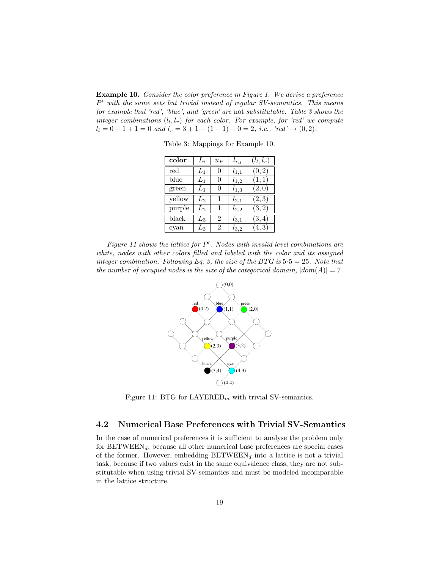Example 10. *Consider the color preference in Figure 1. We derive a preference P*0 *with the same sets but trivial instead of regular SV-semantics. This means for example that 'red', 'blue', and 'green' are* not *substitutable. Table 3 shows the integer combinations*  $(l_l, l_r)$  *for each color. For example, for 'red' we compute*  $l_l = 0 - 1 + 1 = 0$  *and*  $l_r = 3 + 1 - (1 + 1) + 0 = 2$ *, i.e., 'red'*  $\rightarrow (0, 2)$ *.* 

| color     | $L_i$   | $u_{P}$       | $l_{i,j}$ | $(l_l, l_r)$ |
|-----------|---------|---------------|-----------|--------------|
| $\rm red$ | $L_1$   | $\Omega$      | $l_{1,1}$ | (0, 2)       |
| blue      | $L_1$   | $\Omega$      | $l_{1,2}$ | (1,1)        |
| green     | $L_1$   | $\Omega$      | $l_{1,3}$ | (2,0)        |
| yellow    | $L_{2}$ |               | $l_{2,1}$ | (2,3)        |
| purple    | $L_2$   | 1             | $l_{2,2}$ | (3, 2)       |
| black     | $L_{3}$ | $\mathcal{D}$ | $l_{3,1}$ | (3, 4)       |
| cyan      | $L_{3}$ | 2             | $l_{3,2}$ | (4, 3)       |

Table 3: Mappings for Example 10.

*Figure 11 shows the lattice for*  $P'$ . Nodes with invalid level combinations are *white, nodes with other colors filled and labeled with the color and its assigned integer combination. Following Eq. 3, the size of the BTG is* 5*·*5 = 25*. Note that the number of occupied nodes is the size of the categorical domain,*  $|dom(A)| = 7$ .



Figure 11: BTG for LAYERED*<sup>m</sup>* with trivial SV-semantics.

#### 4.2 Numerical Base Preferences with Trivial SV-Semantics

In the case of numerical preferences it is sufficient to analyse the problem only for BETWEEN*d*, because all other numerical base preferences are special cases of the former. However, embedding  $BETWEEN_d$  into a lattice is not a trivial task, because if two values exist in the same equivalence class, they are not substitutable when using trivial SV-semantics and must be modeled incomparable in the lattice structure.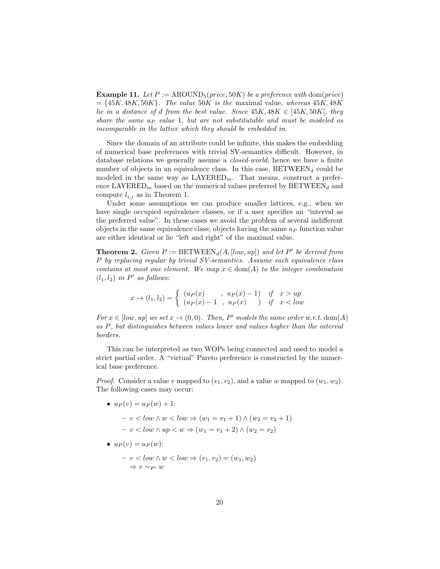**Example 11.** Let  $P := \text{AROUND}_5(\text{price}, 50K)$  be a preference with dom(price)  $=$   $\{45K, 48K, 50K\}$ *. The value*  $50K$  *is the* maximal value, *whereas*  $45K, 48K$ *lie in a distance of d from the best value. Since*  $45K, 48K \in [45K, 50K]$ *, they share the same u<sup>P</sup> value* 1*, but are not substitutable and must be modeled as incomparable in the lattice which they should be embedded in.*

Since the domain of an attribute could be infinite, this makes the embedding of numerical base preferences with trivial SV-semantics difficult. However, in database relations we generally assume a *closed-world*, hence we have a finite number of objects in an equivalence class. In this case,  $BETWEEN<sub>d</sub>$  could be modeled in the same way as LAYERED*m*. That means, construct a preference  $\text{LAYERED}_m$  based on the numerical values preferred by  $\text{BETWEEN}_d$  and compute  $l_{i,j}$  as in Theorem 1.

Under some assumptions we can produce smaller lattices, e.g., when we have single occupied equivalence classes, or if a user specifies an "interval as the preferred value". In these cases we avoid the problem of several indifferent objects in the same equivalence class; objects having the same  $u<sub>P</sub>$  function value are either identical or lie "left and right" of the maximal value.

**Theorem 2.** *Given*  $P := \text{BETWEEN}_{d}(A, [low, up])$  *and let*  $P'$  *be derived from P by replacing regular by trivial SV-semantics. Assume each equivalence class contains at most one element. We map*  $x \in \text{dom}(A)$  *to the integer combination*  $(l_1, l_2)$  *in*  $P'$  *as follows:* 

$$
x \to (l_1, l_2) = \begin{cases} (u_P(x) \quad , \ u_P(x) - 1) & \text{if } x > up \\ (u_P(x) - 1 \quad , \ u_P(x) & \text{if } x < low \end{cases}
$$

*For*  $x \in [low, up]$  *we set*  $x \to (0, 0)$ *. Then, P'* models the same order w.r.t. dom(*A*) *as P, but distinguishes between values lower and values higher than the interval borders.*

This can be interpreted as two WOPs being connected and used to model a strict partial order. A "virtual" Pareto preference is constructed by the numerical base preference.

*Proof.* Consider a value *v* mapped to  $(v_1, v_2)$ , and a value *w* mapped to  $(w_1, w_2)$ . The following cases may occur:

- $u_P(v) = u_P(w) + 1$ :
	- $-v < low \wedge w < low \Rightarrow (w_1 = v_1 + 1) \wedge (w_2 = v_2 + 1)$  $-v < low \wedge up < w \Rightarrow (w_1 = v_1 + 2) \wedge (w_2 = v_2)$
- $u_P(v) = u_P(w)$ :
	- $-v < low \wedge w < low \Rightarrow (v_1, v_2) = (w_1, w_2)$  $\Rightarrow v \sim_{P'} w$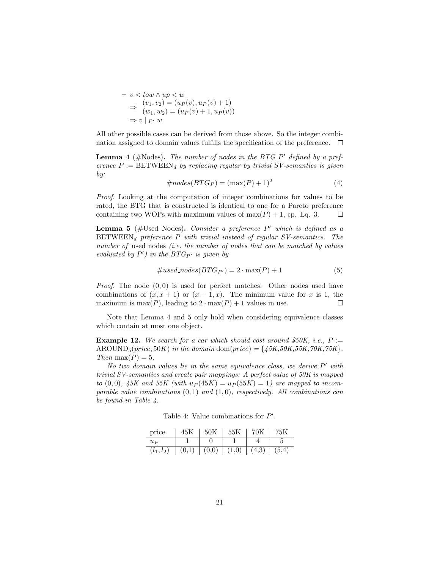$$
- v < low \land up < w
$$
  
\n
$$
\Rightarrow (v_1, v_2) = (u_P(v), u_P(v) + 1)
$$
  
\n
$$
\Rightarrow (w_1, w_2) = (u_P(v) + 1, u_P(v))
$$
  
\n
$$
\Rightarrow v \parallel_{P'} w
$$

All other possible cases can be derived from those above. So the integer combination assigned to domain values fulfills the specification of the preference.  $\Box$ 

**Lemma 4** ( $\# \text{Nodes}$ ). The number of nodes in the BTG P' defined by a pref*erence*  $P := \text{BETWEEN}_d$  *by replacing regular by trivial SV-semantics is given by:*

$$
\#nodes(BTG_P) = (\max(P) + 1)^2 \tag{4}
$$

*Proof.* Looking at the computation of integer combinations for values to be rated, the BTG that is constructed is identical to one for a Pareto preference containing two WOPs with maximum values of  $max(P) + 1$ , cp. Eq. 3.  $\Box$ 

Lemma 5 (#Used Nodes). *Consider a preference* P' which is defined as a BETWEEN*<sup>d</sup> preference P with trivial instead of regular SV-semantics. The number of* used nodes *(i.e. the number of nodes that can be matched by values evaluated by*  $P'$ *)* in the  $BTG_{P'}$  *is given by* 

$$
\#used\_nodes(BTG_{P'}) = 2 \cdot \max(P) + 1 \tag{5}
$$

*Proof.* The node (0*,* 0) is used for perfect matches. Other nodes used have combinations of  $(x, x + 1)$  or  $(x + 1, x)$ . The minimum value for x is 1, the maximum is max(*P*), leading to  $2 \cdot \max(P) + 1$  values in use.  $\Box$ 

Note that Lemma 4 and 5 only hold when considering equivalence classes which contain at most one object.

**Example 12.** We search for a car which should cost around  $$50K$ , i.e.,  $P :=$ AROUND<sub>5</sub>(*price*, 50*K*) *in the domain* dom(*price*) = { $45K,50K,55K,70K,75K$ }*. Then* max $(P) = 5$ *.* 

*No two domain values lie in the same equivalence class, we derive*  $P'$  with *trivial SV-semantics and create pair mappings: A perfect value of 50K is mapped to*  $(0,0)$ *,*  $45K$  and  $55K$  (with  $u_P(45K) = u_P(55K) = 1$ ) are mapped to incom*parable value combinations* (0*,* 1) *and* (1*,* 0)*, respectively. All combinations can be found in Table 4.*

Table 4: Value combinations for  $P'$ .

| price                                                                                                            | 45K | $50\mathrm{K}$ | 55K | 70K | 75K |
|------------------------------------------------------------------------------------------------------------------|-----|----------------|-----|-----|-----|
| $u_{P}$                                                                                                          |     |                |     |     |     |
| $(l_1, l_2)$ $\parallel$ $(0,1)$ $\parallel$ $(0,0)$ $\parallel$ $(1,0)$ $\parallel$ $(4,3)$ $\parallel$ $(5,4)$ |     |                |     |     |     |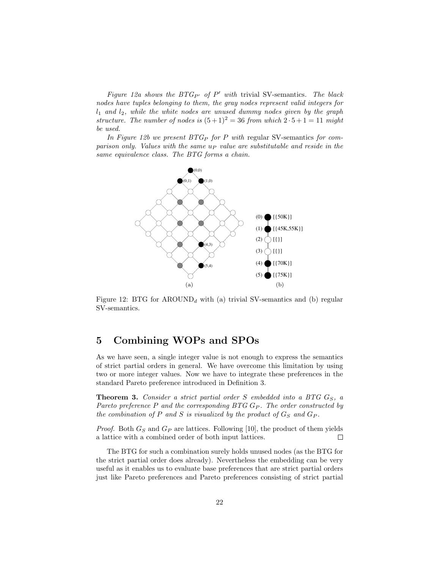*Figure 12a shows the BTG<sub>P</sub>* of  $P'$  *with* trivial SV-semantics. The black *nodes have tuples belonging to them, the gray nodes represent valid integers for l*<sup>1</sup> *and l*2*, while the white nodes are unused dummy nodes given by the graph structure. The number of nodes is*  $(5+1)^2 = 36$  *from which*  $2 \cdot 5 + 1 = 11$  *might be used.*

*In Figure 12b we present BTG<sup>P</sup> for P with* regular SV-semantics *for comparison only. Values with the same u<sup>P</sup> value are substitutable and reside in the same equivalence class. The BTG forms a chain.*



Figure 12: BTG for  $AROUND_d$  with (a) trivial SV-semantics and (b) regular SV-semantics.

## 5 Combining WOPs and SPOs

As we have seen, a single integer value is not enough to express the semantics of strict partial orders in general. We have overcome this limitation by using two or more integer values. Now we have to integrate these preferences in the standard Pareto preference introduced in Definition 3.

Theorem 3. *Consider a strict partial order S embedded into a BTG GS, a Pareto preference P and the corresponding BTG G<sup>P</sup> . The order constructed by the combination of*  $P$  *and*  $S$  *is visualized by the product of*  $G_S$  *and*  $G_P$ *.* 

*Proof.* Both *G<sup>S</sup>* and *G<sup>P</sup>* are lattices. Following [10], the product of them yields a lattice with a combined order of both input lattices.  $\Box$ 

The BTG for such a combination surely holds unused nodes (as the BTG for the strict partial order does already). Nevertheless the embedding can be very useful as it enables us to evaluate base preferences that are strict partial orders just like Pareto preferences and Pareto preferences consisting of strict partial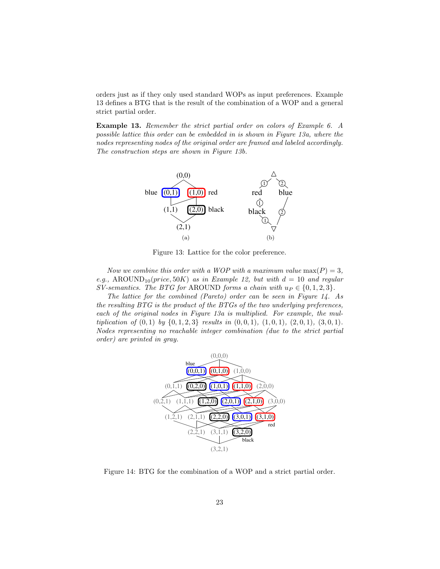orders just as if they only used standard WOPs as input preferences. Example 13 defines a BTG that is the result of the combination of a WOP and a general strict partial order.

Example 13. *Remember the strict partial order on colors of Example 6. A possible lattice this order can be embedded in is shown in Figure 13a, where the nodes representing nodes of the original order are framed and labeled accordingly. The construction steps are shown in Figure 13b.*



Figure 13: Lattice for the color preference.

*Now we combine this order with a WOP with a maximum value*  $max(P) = 3$ ,  $e.g., \text{ AROUND}_{10}(price, 50K) \text{ as in Example 12, but with } d = 10 \text{ and regular}$ *SV-semantics. The BTG for* AROUND *forms a chain with*  $u_P \in \{0, 1, 2, 3\}$ *.* 

*The lattice for the combined (Pareto) order can be seen in Figure 14. As the resulting BTG is the product of the BTGs of the two underlying preferences, each of the original nodes in Figure 13a is multiplied. For example, the mul*tiplication of  $(0,1)$  by  $\{0,1,2,3\}$  results in  $(0,0,1), (1,0,1), (2,0,1), (3,0,1)$ . *Nodes representing no reachable integer combination (due to the strict partial order) are printed in gray.*



Figure 14: BTG for the combination of a WOP and a strict partial order.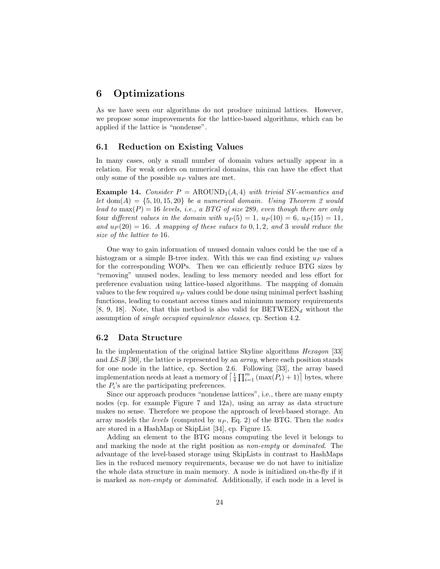## 6 Optimizations

As we have seen our algorithms do not produce minimal lattices. However, we propose some improvements for the lattice-based algorithms, which can be applied if the lattice is "nondense".

#### 6.1 Reduction on Existing Values

In many cases, only a small number of domain values actually appear in a relation. For weak orders on numerical domains, this can have the effect that only some of the possible *u<sup>P</sup>* values are met.

**Example 14.** *Consider*  $P = \text{AROUND}_1(A, 4)$  *with trivial SV-semantics and let*  $dom(A) = \{5, 10, 15, 20\}$  *be a numerical domain. Using Theorem 2 would lead to*  $max(P) = 16$  *levels, i.e., a BTG of size* 289*, even though there are only* four *different values in the domain with*  $u_P(5) = 1$ ,  $u_P(10) = 6$ ,  $u_P(15) = 11$ , *and*  $u_P(20) = 16$ *. A mapping of these values to* 0*,* 1*,* 2*, and* 3 *would reduce the size of the lattice to* 16*.*

One way to gain information of unused domain values could be the use of a histogram or a simple B-tree index. With this we can find existing *u<sup>P</sup>* values for the corresponding WOPs. Then we can efficiently reduce BTG sizes by "removing" unused nodes, leading to less memory needed and less effort for preference evaluation using lattice-based algorithms. The mapping of domain values to the few required *u<sup>P</sup>* values could be done using minimal perfect hashing functions, leading to constant access times and minimum memory requirements [8, 9, 18]. Note, that this method is also valid for  $BETWEEN_d$  without the assumption of *single occupied equivalence classes*, cp. Section 4.2.

#### 6.2 Data Structure

In the implementation of the original lattice Skyline algorithms *Hexagon* [33] and *LS-B* [30], the lattice is represented by an *array*, where each position stands for one node in the lattice, cp. Section 2.6. Following [33], the array based implementation needs at least a memory of  $\left[\frac{1}{4}\prod_{i=1}^{m}(\max(P_i)+1)\right]$  bytes, where the  $P_i$ 's are the participating preferences.

Since our approach produces "nondense lattices", i.e., there are many empty nodes (cp. for example Figure 7 and 12a), using an array as data structure makes no sense. Therefore we propose the approach of level-based storage. An array models the *levels* (computed by *u<sup>P</sup>* , Eq. 2) of the BTG. Then the *nodes* are stored in a HashMap or SkipList [34], cp. Figure 15.

Adding an element to the BTG means computing the level it belongs to and marking the node at the right position as *non-empty* or *dominated*. The advantage of the level-based storage using SkipLists in contrast to HashMaps lies in the reduced memory requirements, because we do not have to initialize the whole data structure in main memory. A node is initialized on-the-fly if it is marked as *non-empty* or *dominated*. Additionally, if each node in a level is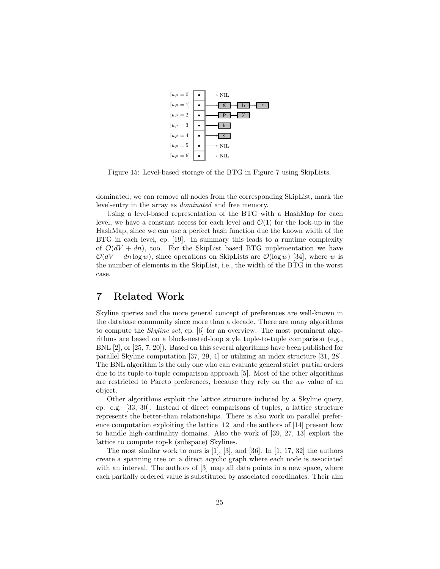

Figure 15: Level-based storage of the BTG in Figure 7 using SkipLists.

dominated, we can remove all nodes from the corresponding SkipList, mark the level-entry in the array as *dominated* and free memory.

Using a level-based representation of the BTG with a HashMap for each level, we have a constant access for each level and  $\mathcal{O}(1)$  for the look-up in the HashMap, since we can use a perfect hash function due the known width of the BTG in each level, cp. [19]. In summary this leads to a runtime complexity of  $\mathcal{O}(dV + dn)$ , too. For the SkipList based BTG implementation we have  $\mathcal{O}(dV + dn \log w)$ , since operations on SkipLists are  $\mathcal{O}(\log w)$  [34], where *w* is the number of elements in the SkipList, i.e., the width of the BTG in the worst case.

## 7 Related Work

Skyline queries and the more general concept of preferences are well-known in the database community since more than a decade. There are many algorithms to compute the *Skyline set*, cp. [6] for an overview. The most prominent algorithms are based on a block-nested-loop style tuple-to-tuple comparison (e.g., BNL [2], or [25, 7, 20]). Based on this several algorithms have been published for parallel Skyline computation [37, 29, 4] or utilizing an index structure [31, 28]. The BNL algorithm is the only one who can evaluate general strict partial orders due to its tuple-to-tuple comparison approach [5]. Most of the other algorithms are restricted to Pareto preferences, because they rely on the *u<sup>P</sup>* value of an object.

Other algorithms exploit the lattice structure induced by a Skyline query, cp. e.g. [33, 30]. Instead of direct comparisons of tuples, a lattice structure represents the better-than relationships. There is also work on parallel preference computation exploiting the lattice [12] and the authors of [14] present how to handle high-cardinality domains. Also the work of [39, 27, 13] exploit the lattice to compute top-k (subspace) Skylines.

The most similar work to ours is  $[1]$ ,  $[3]$ , and  $[36]$ . In  $[1, 17, 32]$  the authors create a spanning tree on a direct acyclic graph where each node is associated with an interval. The authors of [3] map all data points in a new space, where each partially ordered value is substituted by associated coordinates. Their aim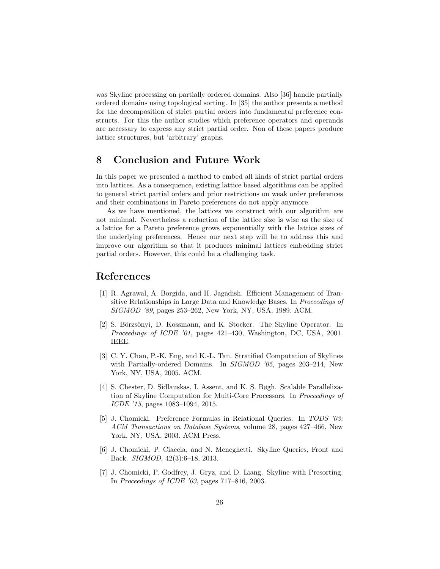was Skyline processing on partially ordered domains. Also [36] handle partially ordered domains using topological sorting. In [35] the author presents a method for the decomposition of strict partial orders into fundamental preference constructs. For this the author studies which preference operators and operands are necessary to express any strict partial order. Non of these papers produce lattice structures, but 'arbitrary' graphs.

## 8 Conclusion and Future Work

In this paper we presented a method to embed all kinds of strict partial orders into lattices. As a consequence, existing lattice based algorithms can be applied to general strict partial orders and prior restrictions on weak order preferences and their combinations in Pareto preferences do not apply anymore.

As we have mentioned, the lattices we construct with our algorithm are not minimal. Nevertheless a reduction of the lattice size is wise as the size of a lattice for a Pareto preference grows exponentially with the lattice sizes of the underlying preferences. Hence our next step will be to address this and improve our algorithm so that it produces minimal lattices embedding strict partial orders. However, this could be a challenging task.

## References

- [1] R. Agrawal, A. Borgida, and H. Jagadish. Efficient Management of Transitive Relationships in Large Data and Knowledge Bases. In *Proceedings of SIGMOD '89*, pages 253–262, New York, NY, USA, 1989. ACM.
- [2] S. Börzsönyi, D. Kossmann, and K. Stocker. The Skyline Operator. In *Proceedings of ICDE '01*, pages 421–430, Washington, DC, USA, 2001. IEEE.
- [3] C. Y. Chan, P.-K. Eng, and K.-L. Tan. Stratified Computation of Skylines with Partially-ordered Domains. In *SIGMOD '05*, pages 203–214, New York, NY, USA, 2005. ACM.
- [4] S. Chester, D. Sidlauskas, I. Assent, and K. S. Bøgh. Scalable Parallelization of Skyline Computation for Multi-Core Processors. In *Proceedings of ICDE '15*, pages 1083–1094, 2015.
- [5] J. Chomicki. Preference Formulas in Relational Queries. In *TODS '03: ACM Transactions on Database Systems*, volume 28, pages 427–466, New York, NY, USA, 2003. ACM Press.
- [6] J. Chomicki, P. Ciaccia, and N. Meneghetti. Skyline Queries, Front and Back. *SIGMOD*, 42(3):6–18, 2013.
- [7] J. Chomicki, P. Godfrey, J. Gryz, and D. Liang. Skyline with Presorting. In *Proceedings of ICDE '03*, pages 717–816, 2003.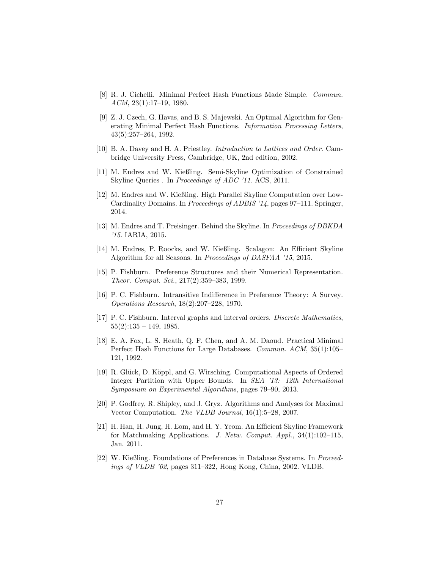- [8] R. J. Cichelli. Minimal Perfect Hash Functions Made Simple. *Commun. ACM*, 23(1):17–19, 1980.
- [9] Z. J. Czech, G. Havas, and B. S. Majewski. An Optimal Algorithm for Generating Minimal Perfect Hash Functions. *Information Processing Letters*, 43(5):257–264, 1992.
- [10] B. A. Davey and H. A. Priestley. *Introduction to Lattices and Order*. Cambridge University Press, Cambridge, UK, 2nd edition, 2002.
- [11] M. Endres and W. Kießling. Semi-Skyline Optimization of Constrained Skyline Queries . In *Proceedings of ADC '11*. ACS, 2011.
- [12] M. Endres and W. Kießling. High Parallel Skyline Computation over Low-Cardinality Domains. In *Proceedings of ADBIS '14*, pages 97–111. Springer, 2014.
- [13] M. Endres and T. Preisinger. Behind the Skyline. In *Proceedings of DBKDA '15*. IARIA, 2015.
- [14] M. Endres, P. Roocks, and W. Kießling. Scalagon: An Efficient Skyline Algorithm for all Seasons. In *Proceedings of DASFAA '15*, 2015.
- [15] P. Fishburn. Preference Structures and their Numerical Representation. *Theor. Comput. Sci.*, 217(2):359–383, 1999.
- [16] P. C. Fishburn. Intransitive Indifference in Preference Theory: A Survey. *Operations Research*, 18(2):207–228, 1970.
- [17] P. C. Fishburn. Interval graphs and interval orders. *Discrete Mathematics*,  $55(2):135 - 149, 1985.$
- [18] E. A. Fox, L. S. Heath, Q. F. Chen, and A. M. Daoud. Practical Minimal Perfect Hash Functions for Large Databases. *Commun. ACM*, 35(1):105– 121, 1992.
- [19] R. Glück, D. Köppl, and G. Wirsching. Computational Aspects of Ordered Integer Partition with Upper Bounds. In *SEA '13: 12th International Symposium on Experimental Algorithms*, pages 79–90, 2013.
- [20] P. Godfrey, R. Shipley, and J. Gryz. Algorithms and Analyses for Maximal Vector Computation. *The VLDB Journal*, 16(1):5–28, 2007.
- [21] H. Han, H. Jung, H. Eom, and H. Y. Yeom. An Efficient Skyline Framework for Matchmaking Applications. *J. Netw. Comput. Appl.*, 34(1):102–115, Jan. 2011.
- [22] W. Kießling. Foundations of Preferences in Database Systems. In *Proceedings of VLDB '02*, pages 311–322, Hong Kong, China, 2002. VLDB.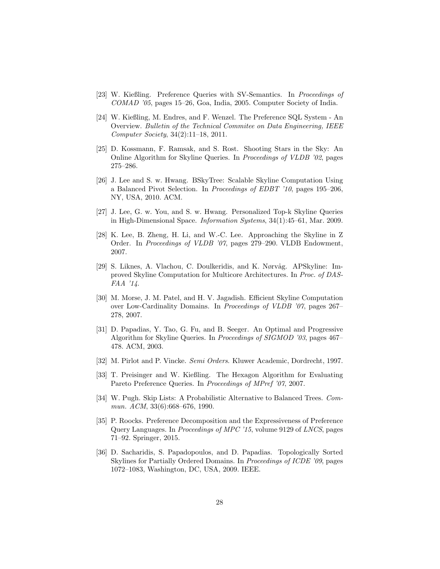- [23] W. Kießling. Preference Queries with SV-Semantics. In *Proceedings of COMAD '05*, pages 15–26, Goa, India, 2005. Computer Society of India.
- [24] W. Kießling, M. Endres, and F. Wenzel. The Preference SQL System An Overview. *Bulletin of the Technical Commitee on Data Engineering, IEEE Computer Society*, 34(2):11–18, 2011.
- [25] D. Kossmann, F. Ramsak, and S. Rost. Shooting Stars in the Sky: An Online Algorithm for Skyline Queries. In *Proceedings of VLDB '02*, pages 275–286.
- [26] J. Lee and S. w. Hwang. BSkyTree: Scalable Skyline Computation Using a Balanced Pivot Selection. In *Proceedings of EDBT '10*, pages 195–206, NY, USA, 2010. ACM.
- [27] J. Lee, G. w. You, and S. w. Hwang. Personalized Top-k Skyline Queries in High-Dimensional Space. *Information Systems*, 34(1):45–61, Mar. 2009.
- [28] K. Lee, B. Zheng, H. Li, and W.-C. Lee. Approaching the Skyline in Z Order. In *Proceedings of VLDB '07*, pages 279–290. VLDB Endowment, 2007.
- [29] S. Liknes, A. Vlachou, C. Doulkeridis, and K. Nørvåg. APSkyline: Improved Skyline Computation for Multicore Architectures. In *Proc. of DAS-FAA '14*.
- [30] M. Morse, J. M. Patel, and H. V. Jagadish. Efficient Skyline Computation over Low-Cardinality Domains. In *Proceedings of VLDB '07*, pages 267– 278, 2007.
- [31] D. Papadias, Y. Tao, G. Fu, and B. Seeger. An Optimal and Progressive Algorithm for Skyline Queries. In *Proceedings of SIGMOD '03*, pages 467– 478. ACM, 2003.
- [32] M. Pirlot and P. Vincke. *Semi Orders*. Kluwer Academic, Dordrecht, 1997.
- [33] T. Preisinger and W. Kießling. The Hexagon Algorithm for Evaluating Pareto Preference Queries. In *Proceedings of MPref '07*, 2007.
- [34] W. Pugh. Skip Lists: A Probabilistic Alternative to Balanced Trees. *Commun. ACM*, 33(6):668–676, 1990.
- [35] P. Roocks. Preference Decomposition and the Expressiveness of Preference Query Languages. In *Proceedings of MPC '15*, volume 9129 of *LNCS*, pages 71–92. Springer, 2015.
- [36] D. Sacharidis, S. Papadopoulos, and D. Papadias. Topologically Sorted Skylines for Partially Ordered Domains. In *Proceedings of ICDE '09*, pages 1072–1083, Washington, DC, USA, 2009. IEEE.